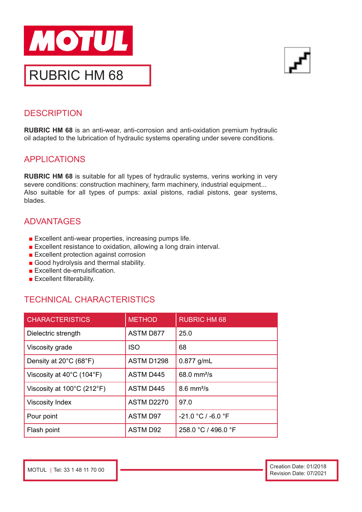



## **DESCRIPTION**

**RUBRIC HM 68** is an anti-wear, anti-corrosion and anti-oxidation premium hydraulic oil adapted to the lubrication of hydraulic systems operating under severe conditions.

## APPLICATIONS

**RUBRIC HM 68** is suitable for all types of hydraulic systems, verins working in very severe conditions: construction machinery, farm machinery, industrial equipment... Also suitable for all types of pumps: axial pistons, radial pistons, gear systems, blades.

# ADVANTAGES

- Excellent anti-wear properties, increasing pumps life.
- Excellent resistance to oxidation, allowing a long drain interval.
- Excellent protection against corrosion
- Good hydrolysis and thermal stability.
- Excellent de-emulsification.
- Excellent filterability.

## TECHNICAL CHARACTERISTICS

| <b>CHARACTERISTICS</b>                          | <b>METHOD</b>     | <b>RUBRIC HM 68</b>            |
|-------------------------------------------------|-------------------|--------------------------------|
| Dielectric strength                             | <b>ASTM D877</b>  | 25.0                           |
| Viscosity grade                                 | <b>ISO</b>        | 68                             |
| Density at 20°C (68°F)                          | ASTM D1298        | $0.877$ g/mL                   |
| Viscosity at $40^{\circ}$ C (104 $^{\circ}$ F)  | <b>ASTM D445</b>  | $68.0 \, \text{mm}^2/\text{s}$ |
| Viscosity at $100^{\circ}$ C (212 $^{\circ}$ F) | <b>ASTM D445</b>  | $8.6$ mm $\frac{2}{s}$         |
| <b>Viscosity Index</b>                          | <b>ASTM D2270</b> | 97.0                           |
| Pour point                                      | <b>ASTM D97</b>   | -21.0 °C / -6.0 °F             |
| Flash point                                     | <b>ASTM D92</b>   | 258.0 °C / 496.0 °F            |